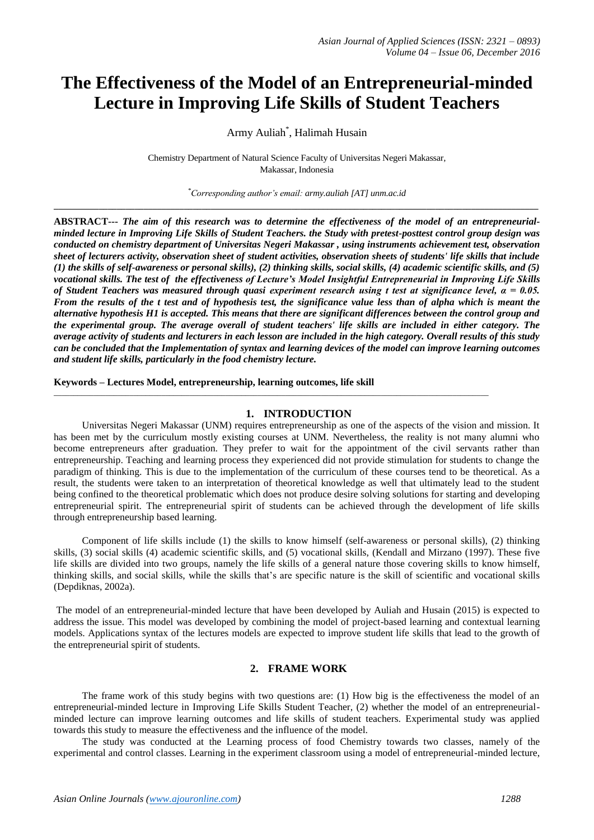# **The Effectiveness of the Model of an Entrepreneurial-minded Lecture in Improving Life Skills of Student Teachers**

Army Auliah\* , Halimah Husain

Chemistry Department of Natural Science Faculty of Universitas Negeri Makassar, Makassar, Indonesia

*\*Corresponding author's email: army.auliah [AT] unm.ac.id* **\_\_\_\_\_\_\_\_\_\_\_\_\_\_\_\_\_\_\_\_\_\_\_\_\_\_\_\_\_\_\_\_\_\_\_\_\_\_\_\_\_\_\_\_\_\_\_\_\_\_\_\_\_\_\_\_\_\_\_\_\_\_\_\_\_\_\_\_\_\_\_\_\_\_\_\_\_\_\_\_\_\_\_\_\_\_\_\_\_\_\_\_\_\_\_\_\_\_\_\_\_\_\_\_\_\_\_\_**

**ABSTRACT---** *The aim of this research was to determine the effectiveness of the model of an entrepreneurialminded lecture in Improving Life Skills of Student Teachers. the Study with pretest-posttest control group design was conducted on chemistry department of Universitas Negeri Makassar , using instruments achievement test, observation sheet of lecturers activity, observation sheet of student activities, observation sheets of students' life skills that include (1) the skills of self-awareness or personal skills), (2) thinking skills, social skills, (4) academic scientific skills, and (5) vocational skills. The test of the effectiveness of Lecture's Model Insightful Entrepreneurial in Improving Life Skills of Student Teachers was measured through quasi experiment research using t test at significance level, α = 0.05. From the results of the t test and of hypothesis test, the significance value less than of alpha which is meant the alternative hypothesis H1 is accepted. This means that there are significant differences between the control group and the experimental group. The average overall of student teachers' life skills are included in either category. The average activity of students and lecturers in each lesson are included in the high category. Overall results of this study can be concluded that the Implementation of syntax and learning devices of the model can improve learning outcomes and student life skills, particularly in the food chemistry lecture.*

**Keywords – Lectures Model, entrepreneurship, learning outcomes, life skill**

#### **1. INTRODUCTION**

*\_\_\_\_\_\_\_\_\_\_\_\_\_\_\_\_\_\_\_\_\_\_\_\_\_\_\_\_\_\_\_\_\_\_\_\_\_\_\_\_\_\_\_\_\_\_\_\_\_\_\_\_\_\_\_\_\_\_\_\_\_\_\_\_\_\_\_\_\_\_\_\_\_\_\_\_\_\_\_\_\_\_\_\_\_\_\_\_\_\_\_\_\_\_\_\_\_\_\_\_\_\_\_\_\_\_\_\_\_*

Universitas Negeri Makassar (UNM) requires entrepreneurship as one of the aspects of the vision and mission. It has been met by the curriculum mostly existing courses at UNM. Nevertheless, the reality is not many alumni who become entrepreneurs after graduation. They prefer to wait for the appointment of the civil servants rather than entrepreneurship. Teaching and learning process they experienced did not provide stimulation for students to change the paradigm of thinking. This is due to the implementation of the curriculum of these courses tend to be theoretical. As a result, the students were taken to an interpretation of theoretical knowledge as well that ultimately lead to the student being confined to the theoretical problematic which does not produce desire solving solutions for starting and developing entrepreneurial spirit. The entrepreneurial spirit of students can be achieved through the development of life skills through entrepreneurship based learning.

Component of life skills include (1) the skills to know himself (self-awareness or personal skills), (2) thinking skills, (3) social skills (4) academic scientific skills, and (5) vocational skills, (Kendall and Mirzano (1997). These five life skills are divided into two groups, namely the life skills of a general nature those covering skills to know himself, thinking skills, and social skills, while the skills that's are specific nature is the skill of scientific and vocational skills (Depdiknas, 2002a).

The model of an entrepreneurial-minded lecture that have been developed by Auliah and Husain (2015) is expected to address the issue. This model was developed by combining the model of project-based learning and contextual learning models. Applications syntax of the lectures models are expected to improve student life skills that lead to the growth of the entrepreneurial spirit of students.

#### **2. FRAME WORK**

The frame work of this study begins with two questions are: (1) How big is the effectiveness the model of an entrepreneurial-minded lecture in Improving Life Skills Student Teacher, (2) whether the model of an entrepreneurialminded lecture can improve learning outcomes and life skills of student teachers. Experimental study was applied towards this study to measure the effectiveness and the influence of the model.

The study was conducted at the Learning process of food Chemistry towards two classes, namely of the experimental and control classes. Learning in the experiment classroom using a model of entrepreneurial-minded lecture,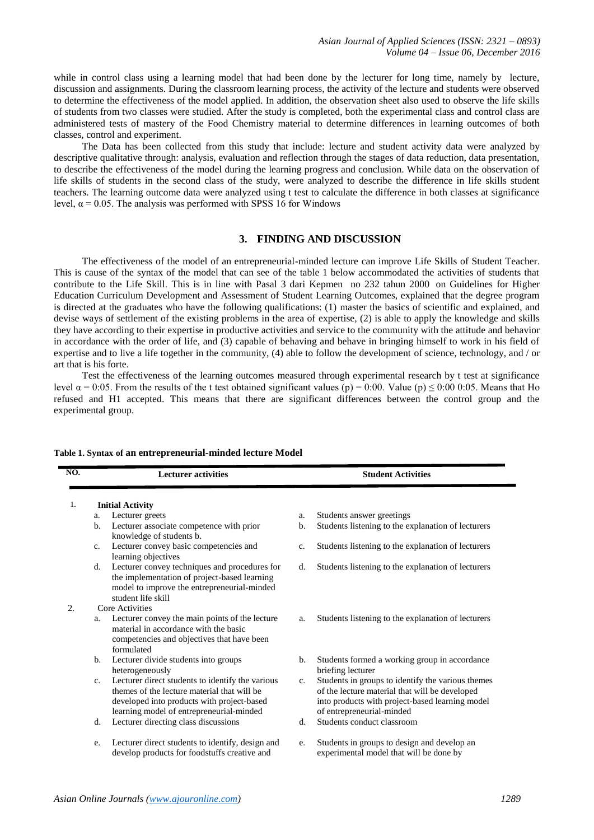while in control class using a learning model that had been done by the lecturer for long time, namely by lecture, discussion and assignments. During the classroom learning process, the activity of the lecture and students were observed to determine the effectiveness of the model applied. In addition, the observation sheet also used to observe the life skills of students from two classes were studied. After the study is completed, both the experimental class and control class are administered tests of mastery of the Food Chemistry material to determine differences in learning outcomes of both classes, control and experiment.

The Data has been collected from this study that include: lecture and student activity data were analyzed by descriptive qualitative through: analysis, evaluation and reflection through the stages of data reduction, data presentation, to describe the effectiveness of the model during the learning progress and conclusion. While data on the observation of life skills of students in the second class of the study, were analyzed to describe the difference in life skills student teachers. The learning outcome data were analyzed using t test to calculate the difference in both classes at significance level,  $α = 0.05$ . The analysis was performed with SPSS 16 for Windows

## **3. FINDING AND DISCUSSION**

The effectiveness of the model of an entrepreneurial-minded lecture can improve Life Skills of Student Teacher. This is cause of the syntax of the model that can see of the table 1 below accommodated the activities of students that contribute to the Life Skill. This is in line with Pasal 3 dari Kepmen no 232 tahun 2000 on Guidelines for Higher Education Curriculum Development and Assessment of Student Learning Outcomes, explained that the degree program is directed at the graduates who have the following qualifications: (1) master the basics of scientific and explained, and devise ways of settlement of the existing problems in the area of expertise, (2) is able to apply the knowledge and skills they have according to their expertise in productive activities and service to the community with the attitude and behavior in accordance with the order of life, and (3) capable of behaving and behave in bringing himself to work in his field of expertise and to live a life together in the community, (4) able to follow the development of science, technology, and / or art that is his forte.

Test the effectiveness of the learning outcomes measured through experimental research by t test at significance level  $α = 0.05$ . From the results of the t test obtained significant values (p) = 0.00. Value (p) ≤ 0.00 0.05. Means that Ho refused and H1 accepted. This means that there are significant differences between the control group and the experimental group.

| NO. | <b>Lecturer activities</b>                                                                                                                                                                                  | <b>Student Activities</b>                                                                                                                                                                          |
|-----|-------------------------------------------------------------------------------------------------------------------------------------------------------------------------------------------------------------|----------------------------------------------------------------------------------------------------------------------------------------------------------------------------------------------------|
| 1.  | <b>Initial Activity</b>                                                                                                                                                                                     |                                                                                                                                                                                                    |
|     | Lecturer greets<br>a.                                                                                                                                                                                       | Students answer greetings<br>a.                                                                                                                                                                    |
|     | Lecturer associate competence with prior<br>b.<br>knowledge of students b.                                                                                                                                  | Students listening to the explanation of lecturers<br>b.                                                                                                                                           |
|     | Lecturer convey basic competencies and<br>c.<br>learning objectives                                                                                                                                         | Students listening to the explanation of lecturers<br>c.                                                                                                                                           |
|     | Lecturer convey techniques and procedures for<br>d.<br>the implementation of project-based learning<br>model to improve the entrepreneurial-minded<br>student life skill                                    | Students listening to the explanation of lecturers<br>d.                                                                                                                                           |
| 2.  | Core Activities                                                                                                                                                                                             |                                                                                                                                                                                                    |
|     | Lecturer convey the main points of the lecture<br>a.<br>material in accordance with the basic<br>competencies and objectives that have been<br>formulated                                                   | Students listening to the explanation of lecturers<br>a.                                                                                                                                           |
|     | Lecturer divide students into groups<br>b.<br>heterogeneously                                                                                                                                               | Students formed a working group in accordance<br>b.<br>briefing lecturer                                                                                                                           |
|     | Lecturer direct students to identify the various<br>$\mathbf{c}$ .<br>themes of the lecture material that will be<br>developed into products with project-based<br>learning model of entrepreneurial-minded | Students in groups to identify the various themes<br>$C_{\star}$<br>of the lecture material that will be developed<br>into products with project-based learning model<br>of entrepreneurial-minded |
|     | Lecturer directing class discussions<br>d.                                                                                                                                                                  | Students conduct classroom<br>d.                                                                                                                                                                   |
|     | Lecturer direct students to identify, design and<br>e.<br>develop products for foodstuffs creative and                                                                                                      | Students in groups to design and develop an<br>e.<br>experimental model that will be done by                                                                                                       |

### **Table 1. Syntax of an entrepreneurial-minded lecture Model**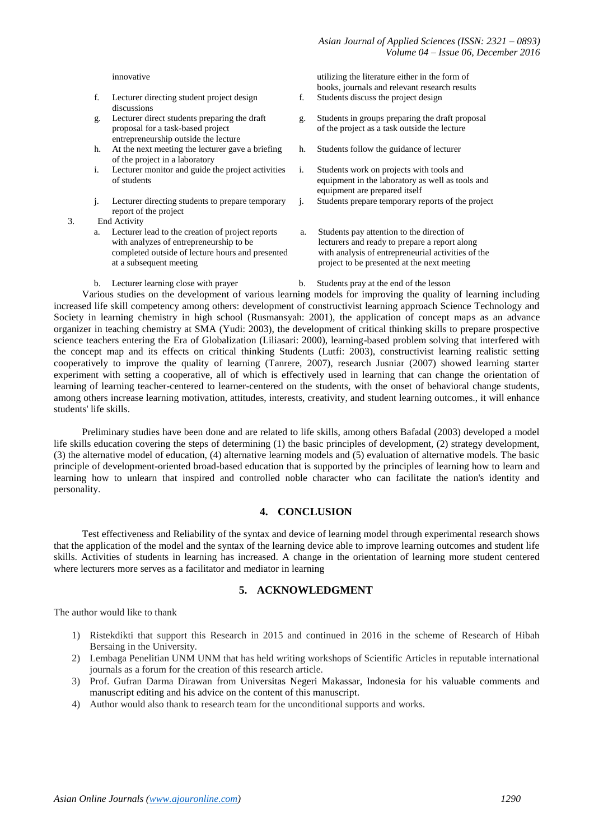- f. Lecturer directing student project design discussions
- g. Lecturer direct students preparing the draft proposal for a task-based project entrepreneurship outside the lecture
- h. At the next meeting the lecturer gave a briefing of the project in a laboratory
- i. Lecturer monitor and guide the project activities of students
- j. Lecturer directing students to prepare temporary report of the project
- 3. End Activity
	- Lecturer lead to the creation of project reports with analyzes of entrepreneurship to be completed outside of lecture hours and presented at a subsequent meeting
	- b. Lecturer learning close with prayer b. Students pray at the end of the lesson

innovative utilizing the literature either in the form of books, journals and relevant research results

- f. Students discuss the project design
- g. Students in groups preparing the draft proposal of the project as a task outside the lecture
- h. Students follow the guidance of lecturer
- i. Students work on projects with tools and equipment in the laboratory as well as tools and equipment are prepared itself
- j. Students prepare temporary reports of the project
- a. Students pay attention to the direction of lecturers and ready to prepare a report along with analysis of entrepreneurial activities of the project to be presented at the next meeting
- 

Various studies on the development of various learning models for improving the quality of learning including increased life skill competency among others: development of constructivist learning approach Science Technology and Society in learning chemistry in high school (Rusmansyah: 2001), the application of concept maps as an advance organizer in teaching chemistry at SMA (Yudi: 2003), the development of critical thinking skills to prepare prospective science teachers entering the Era of Globalization (Liliasari: 2000), learning-based problem solving that interfered with the concept map and its effects on critical thinking Students (Lutfi: 2003), constructivist learning realistic setting cooperatively to improve the quality of learning (Tanrere, 2007), research Jusniar (2007) showed learning starter experiment with setting a cooperative, all of which is effectively used in learning that can change the orientation of learning of learning teacher-centered to learner-centered on the students, with the onset of behavioral change students, among others increase learning motivation, attitudes, interests, creativity, and student learning outcomes., it will enhance students' life skills.

Preliminary studies have been done and are related to life skills, among others Bafadal (2003) developed a model life skills education covering the steps of determining (1) the basic principles of development, (2) strategy development, (3) the alternative model of education, (4) alternative learning models and (5) evaluation of alternative models. The basic principle of development-oriented broad-based education that is supported by the principles of learning how to learn and learning how to unlearn that inspired and controlled noble character who can facilitate the nation's identity and personality.

## **4. CONCLUSION**

Test effectiveness and Reliability of the syntax and device of learning model through experimental research shows that the application of the model and the syntax of the learning device able to improve learning outcomes and student life skills. Activities of students in learning has increased. A change in the orientation of learning more student centered where lecturers more serves as a facilitator and mediator in learning

## **5. ACKNOWLEDGMENT**

The author would like to thank

- 1) Ristekdikti that support this Research in 2015 and continued in 2016 in the scheme of Research of Hibah Bersaing in the University.
- 2) Lembaga Penelitian UNM UNM that has held writing workshops of Scientific Articles in reputable international journals as a forum for the creation of this research article.
- 3) Prof. Gufran Darma Dirawan from Universitas Negeri Makassar, Indonesia for his valuable comments and manuscript editing and his advice on the content of this manuscript.
- 4) Author would also thank to research team for the unconditional supports and works.